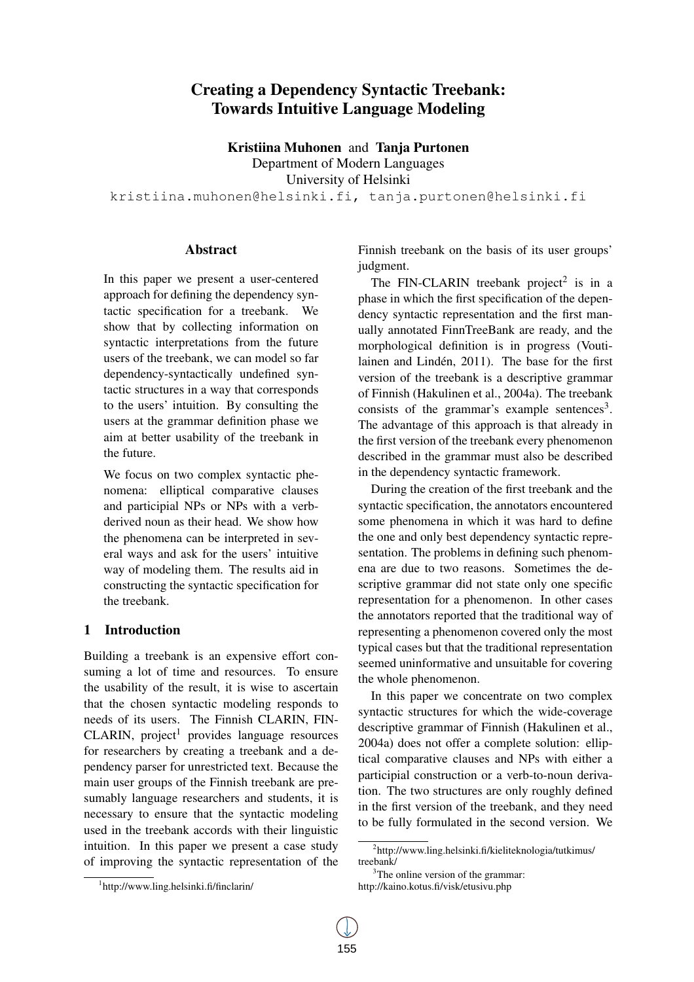# Creating a Dependency Syntactic Treebank: Towards Intuitive Language Modeling

Kristiina Muhonen and Tanja Purtonen Department of Modern Languages

University of Helsinki

kristiina.muhonen@helsinki.fi, tanja.purtonen@helsinki.fi

## Abstract

In this paper we present a user-centered approach for defining the dependency syntactic specification for a treebank. We show that by collecting information on syntactic interpretations from the future users of the treebank, we can model so far dependency-syntactically undefined syntactic structures in a way that corresponds to the users' intuition. By consulting the users at the grammar definition phase we aim at better usability of the treebank in the future.

We focus on two complex syntactic phenomena: elliptical comparative clauses and participial NPs or NPs with a verbderived noun as their head. We show how the phenomena can be interpreted in several ways and ask for the users' intuitive way of modeling them. The results aid in constructing the syntactic specification for the treebank.

## 1 Introduction

Building a treebank is an expensive effort consuming a lot of time and resources. To ensure the usability of the result, it is wise to ascertain that the chosen syntactic modeling responds to needs of its users. The Finnish CLARIN, FIN- $CLARIN$ , project<sup>1</sup> provides language resources for researchers by creating a treebank and a dependency parser for unrestricted text. Because the main user groups of the Finnish treebank are presumably language researchers and students, it is necessary to ensure that the syntactic modeling used in the treebank accords with their linguistic intuition. In this paper we present a case study of improving the syntactic representation of the

Finnish treebank on the basis of its user groups' judgment.

The FIN-CLARIN treebank project<sup>2</sup> is in a phase in which the first specification of the dependency syntactic representation and the first manually annotated FinnTreeBank are ready, and the morphological definition is in progress (Voutilainen and Lindén, 2011). The base for the first version of the treebank is a descriptive grammar of Finnish (Hakulinen et al., 2004a). The treebank consists of the grammar's example sentences<sup>3</sup>. The advantage of this approach is that already in the first version of the treebank every phenomenon described in the grammar must also be described in the dependency syntactic framework.

During the creation of the first treebank and the syntactic specification, the annotators encountered some phenomena in which it was hard to define the one and only best dependency syntactic representation. The problems in defining such phenomena are due to two reasons. Sometimes the descriptive grammar did not state only one specific representation for a phenomenon. In other cases the annotators reported that the traditional way of representing a phenomenon covered only the most typical cases but that the traditional representation seemed uninformative and unsuitable for covering the whole phenomenon.

In this paper we concentrate on two complex syntactic structures for which the wide-coverage descriptive grammar of Finnish (Hakulinen et al., 2004a) does not offer a complete solution: elliptical comparative clauses and NPs with either a participial construction or a verb-to-noun derivation. The two structures are only roughly defined in the first version of the treebank, and they need to be fully formulated in the second version. We

<sup>&</sup>lt;sup>2</sup>http://www.ling.helsinki.fi/kieliteknologia/tutkimus/ treebank/

<sup>&</sup>lt;sup>3</sup>The online version of the grammar: http://kaino.kotus.fi/visk/etusivu.php

<sup>1</sup> http://www.ling.helsinki.fi/finclarin/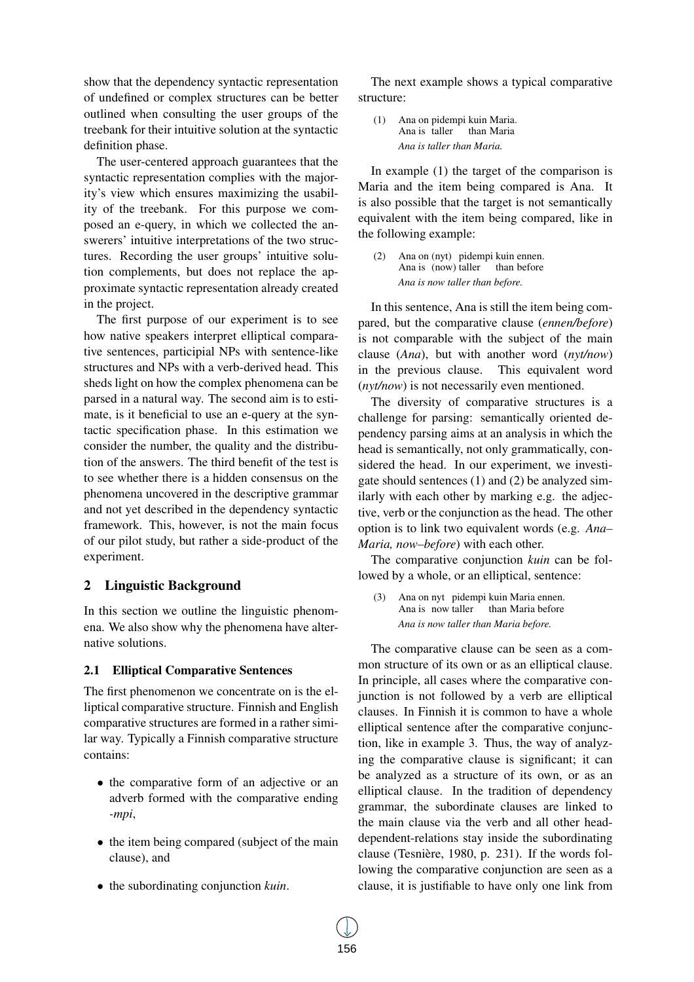show that the dependency syntactic representation of undefined or complex structures can be better outlined when consulting the user groups of the treebank for their intuitive solution at the syntactic definition phase.

The user-centered approach guarantees that the syntactic representation complies with the majority's view which ensures maximizing the usability of the treebank. For this purpose we composed an e-query, in which we collected the answerers' intuitive interpretations of the two structures. Recording the user groups' intuitive solution complements, but does not replace the approximate syntactic representation already created in the project.

The first purpose of our experiment is to see how native speakers interpret elliptical comparative sentences, participial NPs with sentence-like structures and NPs with a verb-derived head. This sheds light on how the complex phenomena can be parsed in a natural way. The second aim is to estimate, is it beneficial to use an e-query at the syntactic specification phase. In this estimation we consider the number, the quality and the distribution of the answers. The third benefit of the test is to see whether there is a hidden consensus on the phenomena uncovered in the descriptive grammar and not yet described in the dependency syntactic framework. This, however, is not the main focus of our pilot study, but rather a side-product of the experiment.

## 2 Linguistic Background

In this section we outline the linguistic phenomena. We also show why the phenomena have alternative solutions.

#### 2.1 Elliptical Comparative Sentences

The first phenomenon we concentrate on is the elliptical comparative structure. Finnish and English comparative structures are formed in a rather similar way. Typically a Finnish comparative structure contains:

- the comparative form of an adjective or an adverb formed with the comparative ending *-mpi*,
- the item being compared (subject of the main clause), and
- the subordinating conjunction *kuin*.

The next example shows a typical comparative structure:

(1) Ana on pidempi kuin Maria. Ana is taller than Maria *Ana is taller than Maria.*

In example (1) the target of the comparison is Maria and the item being compared is Ana. It is also possible that the target is not semantically equivalent with the item being compared, like in the following example:

(2) Ana on (nyt) pidempi kuin ennen. Ana is (now) taller than before *Ana is now taller than before.*

In this sentence, Ana is still the item being compared, but the comparative clause (*ennen/before*) is not comparable with the subject of the main clause (*Ana*), but with another word (*nyt/now*) in the previous clause. This equivalent word (*nyt/now*) is not necessarily even mentioned.

The diversity of comparative structures is a challenge for parsing: semantically oriented dependency parsing aims at an analysis in which the head is semantically, not only grammatically, considered the head. In our experiment, we investigate should sentences (1) and (2) be analyzed similarly with each other by marking e.g. the adjective, verb or the conjunction as the head. The other option is to link two equivalent words (e.g. *Ana– Maria, now–before*) with each other.

The comparative conjunction *kuin* can be followed by a whole, or an elliptical, sentence:

(3) Ana on nyt pidempi kuin Maria ennen. Ana is now taller than Maria before *Ana is now taller than Maria before.*

The comparative clause can be seen as a common structure of its own or as an elliptical clause. In principle, all cases where the comparative conjunction is not followed by a verb are elliptical clauses. In Finnish it is common to have a whole elliptical sentence after the comparative conjunction, like in example 3. Thus, the way of analyzing the comparative clause is significant; it can be analyzed as a structure of its own, or as an elliptical clause. In the tradition of dependency grammar, the subordinate clauses are linked to the main clause via the verb and all other headdependent-relations stay inside the subordinating clause (Tesnière, 1980, p. 231). If the words following the comparative conjunction are seen as a clause, it is justifiable to have only one link from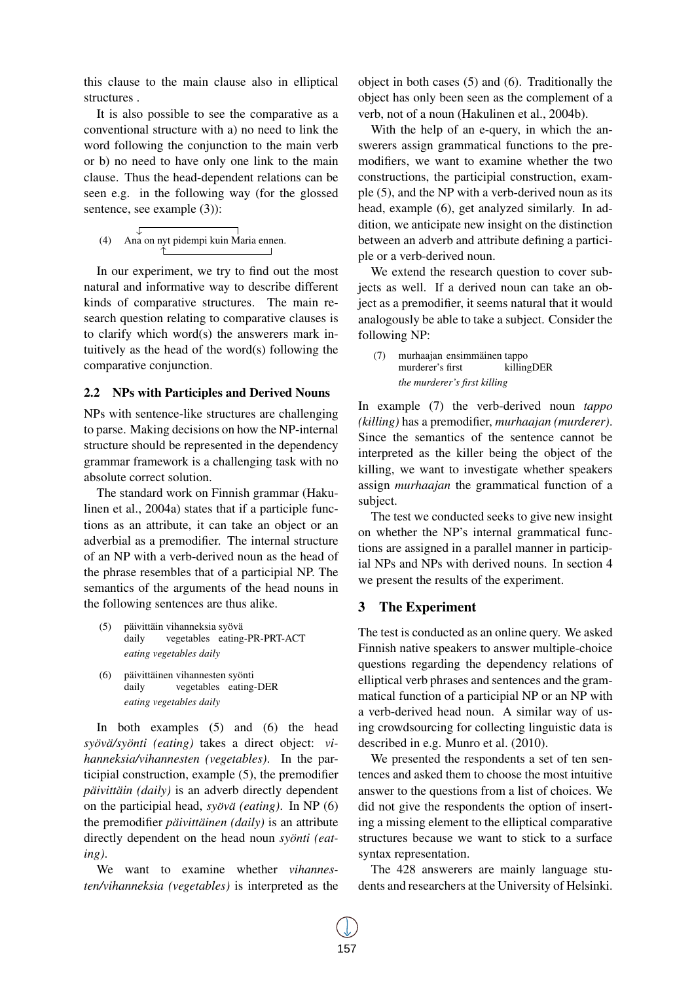this clause to the main clause also in elliptical structures .

It is also possible to see the comparative as a conventional structure with a) no need to link the word following the conjunction to the main verb or b) no need to have only one link to the main clause. Thus the head-dependent relations can be seen e.g. in the following way (for the glossed sentence, see example (3)):

(4) Ana on nyt pidempi kuin Maria ennen. 
$$
\uparrow
$$

In our experiment, we try to find out the most natural and informative way to describe different kinds of comparative structures. The main research question relating to comparative clauses is to clarify which word(s) the answerers mark intuitively as the head of the word(s) following the comparative conjunction.

## 2.2 NPs with Participles and Derived Nouns

NPs with sentence-like structures are challenging to parse. Making decisions on how the NP-internal structure should be represented in the dependency grammar framework is a challenging task with no absolute correct solution.

The standard work on Finnish grammar (Hakulinen et al., 2004a) states that if a participle functions as an attribute, it can take an object or an adverbial as a premodifier. The internal structure of an NP with a verb-derived noun as the head of the phrase resembles that of a participial NP. The semantics of the arguments of the head nouns in the following sentences are thus alike.

- (5) päivittäin vihanneksia syövä daily vegetables eating-PR-PRT-ACT *eating vegetables daily*
- (6) päivittäinen vihannesten syönti daily vegetables eating-DER *eating vegetables daily*

In both examples (5) and (6) the head *syövä/syönti (eating)* takes a direct object: *vihanneksia/vihannesten (vegetables)*. In the participial construction, example (5), the premodifier *päivittäin* (*daily*) is an adverb directly dependent on the participial head, *syova* (eating). In NP (6) the premodifier *päivittäinen* (daily) is an attribute directly dependent on the head noun *syonti (eat- ¨ ing)*.

We want to examine whether *vihannesten/vihanneksia (vegetables)* is interpreted as the object in both cases (5) and (6). Traditionally the object has only been seen as the complement of a verb, not of a noun (Hakulinen et al., 2004b).

With the help of an e-query, in which the answerers assign grammatical functions to the premodifiers, we want to examine whether the two constructions, the participial construction, example (5), and the NP with a verb-derived noun as its head, example (6), get analyzed similarly. In addition, we anticipate new insight on the distinction between an adverb and attribute defining a participle or a verb-derived noun.

We extend the research question to cover subjects as well. If a derived noun can take an object as a premodifier, it seems natural that it would analogously be able to take a subject. Consider the following NP:

(7) murhaajan ensimmäinen tappo murderer's first killingDER *the murderer's first killing*

In example (7) the verb-derived noun *tappo (killing)* has a premodifier, *murhaajan (murderer)*. Since the semantics of the sentence cannot be interpreted as the killer being the object of the killing, we want to investigate whether speakers assign *murhaajan* the grammatical function of a subject.

The test we conducted seeks to give new insight on whether the NP's internal grammatical functions are assigned in a parallel manner in participial NPs and NPs with derived nouns. In section 4 we present the results of the experiment.

## 3 The Experiment

The test is conducted as an online query. We asked Finnish native speakers to answer multiple-choice questions regarding the dependency relations of elliptical verb phrases and sentences and the grammatical function of a participial NP or an NP with a verb-derived head noun. A similar way of using crowdsourcing for collecting linguistic data is described in e.g. Munro et al. (2010).

We presented the respondents a set of ten sentences and asked them to choose the most intuitive answer to the questions from a list of choices. We did not give the respondents the option of inserting a missing element to the elliptical comparative structures because we want to stick to a surface syntax representation.

The 428 answerers are mainly language students and researchers at the University of Helsinki.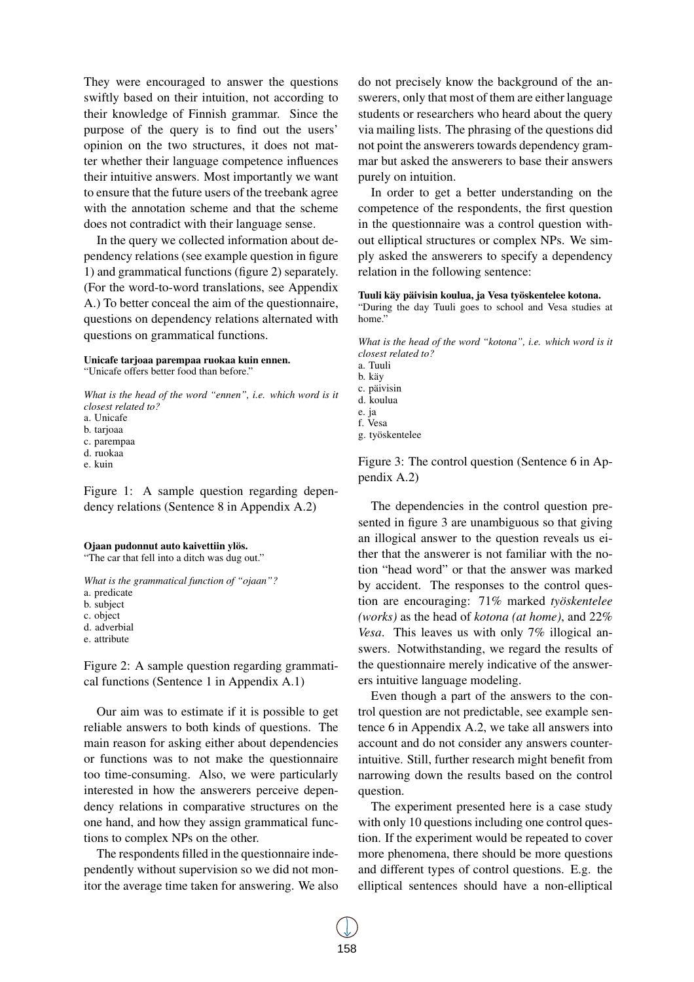They were encouraged to answer the questions swiftly based on their intuition, not according to their knowledge of Finnish grammar. Since the purpose of the query is to find out the users' opinion on the two structures, it does not matter whether their language competence influences their intuitive answers. Most importantly we want to ensure that the future users of the treebank agree with the annotation scheme and that the scheme does not contradict with their language sense.

In the query we collected information about dependency relations (see example question in figure 1) and grammatical functions (figure 2) separately. (For the word-to-word translations, see Appendix A.) To better conceal the aim of the questionnaire, questions on dependency relations alternated with questions on grammatical functions.

#### Unicafe tarjoaa parempaa ruokaa kuin ennen.

"Unicafe offers better food than before."

*What is the head of the word "ennen", i.e. which word is it closest related to?*

- a. Unicafe
- b. tarjoaa
- c. parempaa
- d. ruokaa
- e. kuin

Figure 1: A sample question regarding dependency relations (Sentence 8 in Appendix A.2)

#### Ojaan pudonnut auto kaivettiin ylös.

"The car that fell into a ditch was dug out."

*What is the grammatical function of "ojaan"?* a. predicate b. subject c. object d. adverbial e. attribute

Figure 2: A sample question regarding grammatical functions (Sentence 1 in Appendix A.1)

Our aim was to estimate if it is possible to get reliable answers to both kinds of questions. The main reason for asking either about dependencies or functions was to not make the questionnaire too time-consuming. Also, we were particularly interested in how the answerers perceive dependency relations in comparative structures on the one hand, and how they assign grammatical functions to complex NPs on the other.

The respondents filled in the questionnaire independently without supervision so we did not monitor the average time taken for answering. We also

do not precisely know the background of the answerers, only that most of them are either language students or researchers who heard about the query via mailing lists. The phrasing of the questions did not point the answerers towards dependency grammar but asked the answerers to base their answers purely on intuition.

In order to get a better understanding on the competence of the respondents, the first question in the questionnaire was a control question without elliptical structures or complex NPs. We simply asked the answerers to specify a dependency relation in the following sentence:

Tuuli käy päivisin koulua, ja Vesa työskentelee kotona. "During the day Tuuli goes to school and Vesa studies at home."

*What is the head of the word "kotona", i.e. which word is it closest related to?*

- a. Tuuli
- b. käy
- c. päivisin
- d. koulua
- e. ja f. Vesa
- g. työskentelee
- 

Figure 3: The control question (Sentence 6 in Appendix A.2)

The dependencies in the control question presented in figure 3 are unambiguous so that giving an illogical answer to the question reveals us either that the answerer is not familiar with the notion "head word" or that the answer was marked by accident. The responses to the control question are encouraging: 71% marked *työskentelee (works)* as the head of *kotona (at home)*, and 22% *Vesa*. This leaves us with only 7% illogical answers. Notwithstanding, we regard the results of the questionnaire merely indicative of the answerers intuitive language modeling.

Even though a part of the answers to the control question are not predictable, see example sentence 6 in Appendix A.2, we take all answers into account and do not consider any answers counterintuitive. Still, further research might benefit from narrowing down the results based on the control question.

The experiment presented here is a case study with only 10 questions including one control question. If the experiment would be repeated to cover more phenomena, there should be more questions and different types of control questions. E.g. the elliptical sentences should have a non-elliptical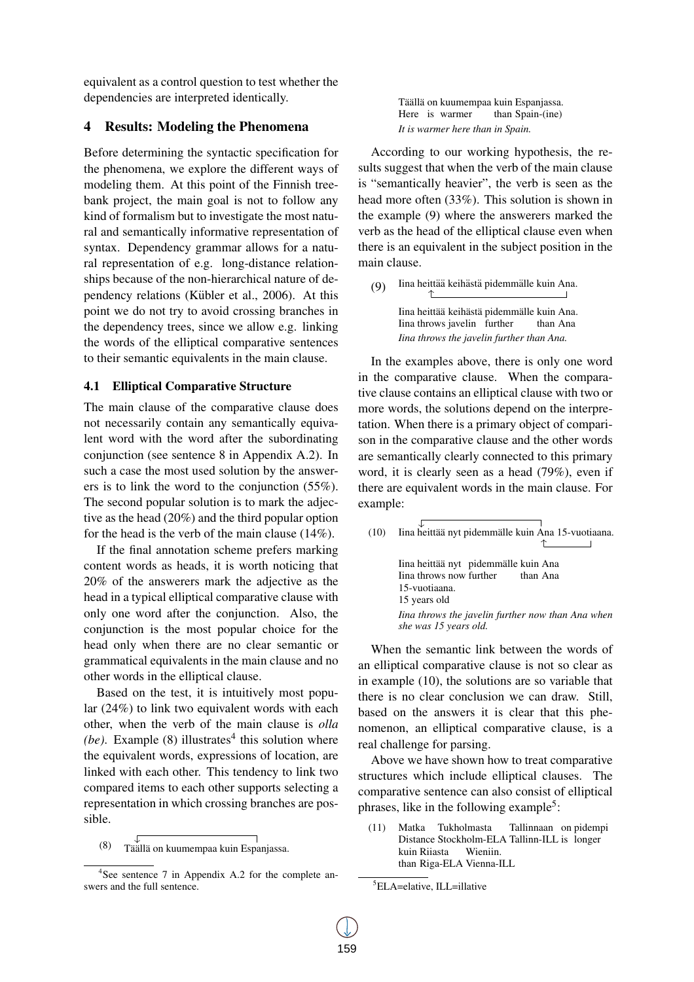equivalent as a control question to test whether the dependencies are interpreted identically.

## 4 Results: Modeling the Phenomena

Before determining the syntactic specification for the phenomena, we explore the different ways of modeling them. At this point of the Finnish treebank project, the main goal is not to follow any kind of formalism but to investigate the most natural and semantically informative representation of syntax. Dependency grammar allows for a natural representation of e.g. long-distance relationships because of the non-hierarchical nature of dependency relations (Kübler et al., 2006). At this point we do not try to avoid crossing branches in the dependency trees, since we allow e.g. linking the words of the elliptical comparative sentences to their semantic equivalents in the main clause.

### 4.1 Elliptical Comparative Structure

The main clause of the comparative clause does not necessarily contain any semantically equivalent word with the word after the subordinating conjunction (see sentence 8 in Appendix A.2). In such a case the most used solution by the answerers is to link the word to the conjunction (55%). The second popular solution is to mark the adjective as the head (20%) and the third popular option for the head is the verb of the main clause (14%).

If the final annotation scheme prefers marking content words as heads, it is worth noticing that 20% of the answerers mark the adjective as the head in a typical elliptical comparative clause with only one word after the conjunction. Also, the conjunction is the most popular choice for the head only when there are no clear semantic or grammatical equivalents in the main clause and no other words in the elliptical clause.

Based on the test, it is intuitively most popular (24%) to link two equivalent words with each other, when the verb of the main clause is *olla*  $(be)$ . Example  $(8)$  illustrates<sup>4</sup> this solution where the equivalent words, expressions of location, are linked with each other. This tendency to link two compared items to each other supports selecting a representation in which crossing branches are possible.

(8) ↓<br>Täällä on kuumempaa kuin Espanjassa.

Täällä on kuumempaa kuin Espanjassa. Here is warmer than Spain-(ine) *It is warmer here than in Spain.*

According to our working hypothesis, the results suggest that when the verb of the main clause is "semantically heavier", the verb is seen as the head more often (33%). This solution is shown in the example (9) where the answerers marked the verb as the head of the elliptical clause even when there is an equivalent in the subject position in the main clause.

(9) Iina heittää keihästä pidemmälle kuin Ana.<br>
<del>───────</del>

Iina heittää keihästä pidemmälle kuin Ana. Iina throws javelin further than Ana *Iina throws the javelin further than Ana.*

In the examples above, there is only one word in the comparative clause. When the comparative clause contains an elliptical clause with two or more words, the solutions depend on the interpretation. When there is a primary object of comparison in the comparative clause and the other words are semantically clearly connected to this primary word, it is clearly seen as a head (79%), even if there are equivalent words in the main clause. For example:

(10) Iina heittää nyt pidemmälle kuin Ana 15-vuotiaana. 
$$
\uparrow
$$

Iina heittää nyt pidemmälle kuin Ana Iina throws now further than Ana 15-vuotiaana. 15 years old *Iina throws the javelin further now than Ana when she was 15 years old.*

When the semantic link between the words of an elliptical comparative clause is not so clear as in example (10), the solutions are so variable that there is no clear conclusion we can draw. Still, based on the answers it is clear that this phenomenon, an elliptical comparative clause, is a real challenge for parsing.

Above we have shown how to treat comparative structures which include elliptical clauses. The comparative sentence can also consist of elliptical phrases, like in the following example<sup>5</sup>:

(11) Matka Tukholmasta Distance Stockholm-ELA Tallinn-ILL is longer Tallinnaan on pidempi kuin Riiasta than Riga-ELA Vienna-ILL Wieniin.

<sup>4</sup> See sentence 7 in Appendix A.2 for the complete answers and the full sentence.

<sup>5</sup>ELA=elative, ILL=illative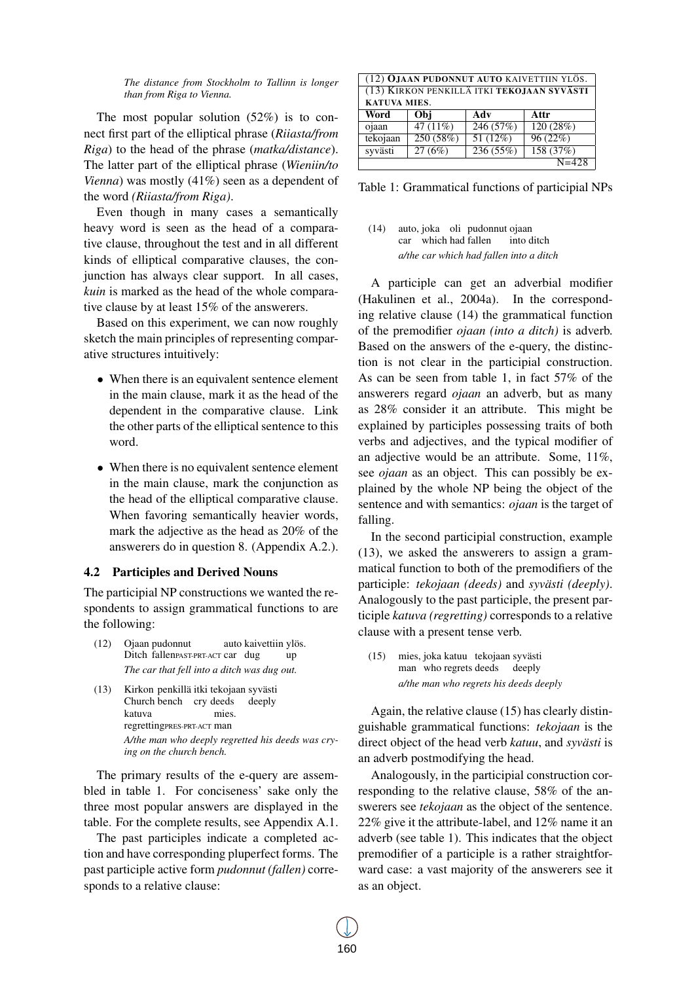*The distance from Stockholm to Tallinn is longer than from Riga to Vienna.*

The most popular solution (52%) is to connect first part of the elliptical phrase (*Riiasta/from Riga*) to the head of the phrase (*matka/distance*). The latter part of the elliptical phrase (*Wieniin/to Vienna*) was mostly (41%) seen as a dependent of the word *(Riiasta/from Riga)*.

Even though in many cases a semantically heavy word is seen as the head of a comparative clause, throughout the test and in all different kinds of elliptical comparative clauses, the conjunction has always clear support. In all cases, *kuin* is marked as the head of the whole comparative clause by at least 15% of the answerers.

Based on this experiment, we can now roughly sketch the main principles of representing comparative structures intuitively:

- When there is an equivalent sentence element in the main clause, mark it as the head of the dependent in the comparative clause. Link the other parts of the elliptical sentence to this word.
- When there is no equivalent sentence element in the main clause, mark the conjunction as the head of the elliptical comparative clause. When favoring semantically heavier words, mark the adjective as the head as 20% of the answerers do in question 8. (Appendix A.2.).

### 4.2 Participles and Derived Nouns

The participial NP constructions we wanted the respondents to assign grammatical functions to are the following:

- (12) Ojaan pudonnut Ditch fallenpast-PRT-ACT car dug auto kaivettiin ylös. up *The car that fell into a ditch was dug out.*
- (13) Kirkon penkillä itki tekojaan syvästi Church bench cry deeds deeply katuva regrettingPRES-PRT-ACT man mies. *A/the man who deeply regretted his deeds was crying on the church bench.*

The primary results of the e-query are assembled in table 1. For conciseness' sake only the three most popular answers are displayed in the table. For the complete results, see Appendix A.1.

The past participles indicate a completed action and have corresponding pluperfect forms. The past participle active form *pudonnut (fallen)* corresponds to a relative clause:

| (12) OJAAN PUDONNUT AUTO KAIVETTIIN YLÖS.  |                       |             |           |  |  |  |  |  |  |  |
|--------------------------------------------|-----------------------|-------------|-----------|--|--|--|--|--|--|--|
| (13) KIRKON PENKILLÄ ITKI TEKOJAAN SYVÄSTI |                       |             |           |  |  |  |  |  |  |  |
| KATUVA MIES.                               |                       |             |           |  |  |  |  |  |  |  |
| Word                                       | Obi                   | Adv<br>Attr |           |  |  |  |  |  |  |  |
| $\overline{\text{oja}}$ an                 | $\overline{47(11\%)}$ | 246(57%)    | 120 (28%) |  |  |  |  |  |  |  |
| tekojaan                                   | 250(58%)              | 51(12%)     | 96(22%)   |  |  |  |  |  |  |  |
| syvästi                                    | 27(6%)                | 236(55%)    | 158 (37%) |  |  |  |  |  |  |  |
|                                            |                       |             | $N=42.8$  |  |  |  |  |  |  |  |

Table 1: Grammatical functions of participial NPs

(14) auto, joka oli pudonnut ojaan car which had fallen into ditch *a/the car which had fallen into a ditch*

A participle can get an adverbial modifier (Hakulinen et al., 2004a). In the corresponding relative clause (14) the grammatical function of the premodifier *ojaan (into a ditch)* is adverb. Based on the answers of the e-query, the distinction is not clear in the participial construction. As can be seen from table 1, in fact 57% of the answerers regard *ojaan* an adverb, but as many as 28% consider it an attribute. This might be explained by participles possessing traits of both verbs and adjectives, and the typical modifier of an adjective would be an attribute. Some, 11%, see *ojaan* as an object. This can possibly be explained by the whole NP being the object of the sentence and with semantics: *ojaan* is the target of falling.

In the second participial construction, example (13), we asked the answerers to assign a grammatical function to both of the premodifiers of the participle: *tekojaan (deeds)* and *syvästi (deeply)*. Analogously to the past participle, the present participle *katuva (regretting)* corresponds to a relative clause with a present tense verb.

(15) mies, joka katuu tekojaan syvästi man who regrets deeds deeply *a/the man who regrets his deeds deeply*

Again, the relative clause (15) has clearly distinguishable grammatical functions: *tekojaan* is the direct object of the head verb *katuu*, and *syvästi* is an adverb postmodifying the head.

Analogously, in the participial construction corresponding to the relative clause, 58% of the answerers see *tekojaan* as the object of the sentence. 22% give it the attribute-label, and 12% name it an adverb (see table 1). This indicates that the object premodifier of a participle is a rather straightforward case: a vast majority of the answerers see it as an object.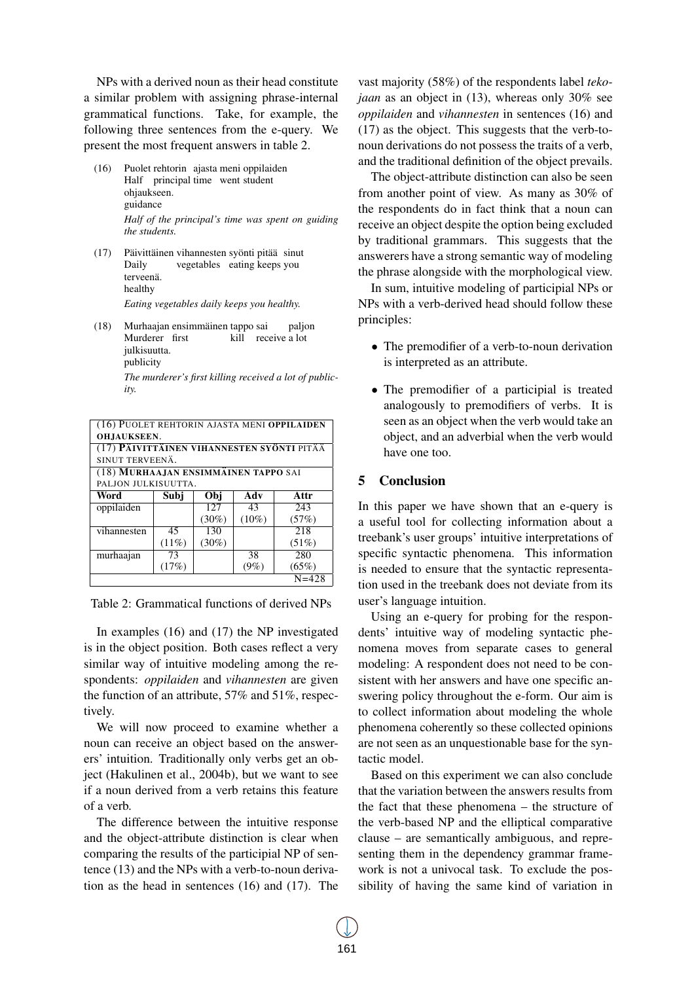NPs with a derived noun as their head constitute a similar problem with assigning phrase-internal grammatical functions. Take, for example, the following three sentences from the e-query. We present the most frequent answers in table 2.

- (16) Puolet rehtorin ajasta meni oppilaiden Half principal time went student ohjaukseen. guidance *Half of the principal's time was spent on guiding the students.*
- (17) Päivittäinen vihannesten syönti pitää sinut Daily vegetables eating keeps you terveenä. healthy *Eating vegetables daily keeps you healthy.*
- (18) Murhaajan ensimmäinen tappo sai Murderer first kill receive a lot paljon julkisuutta. publicity *The murderer's first killing received a lot of publicity.*

|                                            | (16) PUOLET REHTORIN AJASTA MENI OPPILAIDEN |          |          |            |  |  |  |  |  |
|--------------------------------------------|---------------------------------------------|----------|----------|------------|--|--|--|--|--|
| OHJAUKSEEN.                                |                                             |          |          |            |  |  |  |  |  |
| (17) PÄIVITTÄINEN VIHANNESTEN SYÖNTI PITÄÄ |                                             |          |          |            |  |  |  |  |  |
| SINUT TERVEENÄ.                            |                                             |          |          |            |  |  |  |  |  |
| (18) MURHAAJAN ENSIMMÄINEN TAPPO SAI       |                                             |          |          |            |  |  |  |  |  |
| PALJON JULKISUUTTA.                        |                                             |          |          |            |  |  |  |  |  |
| Word                                       | Subi                                        | Obi      | Adv      | Attr       |  |  |  |  |  |
| oppilaiden                                 |                                             | 127      | 43       | 243        |  |  |  |  |  |
|                                            |                                             | $(30\%)$ | $(10\%)$ | (57%)      |  |  |  |  |  |
| vihannesten                                | 45                                          | 130      |          | 218        |  |  |  |  |  |
|                                            | $(11\%)$                                    | $(30\%)$ |          | $(51\%)$   |  |  |  |  |  |
| murhaajan                                  | 73                                          |          | 38       | 280        |  |  |  |  |  |
|                                            | (17%)                                       |          | $(9\%)$  | (65%)      |  |  |  |  |  |
|                                            |                                             |          |          | $N = 42.8$ |  |  |  |  |  |
|                                            |                                             |          |          |            |  |  |  |  |  |

Table 2: Grammatical functions of derived NPs

In examples (16) and (17) the NP investigated is in the object position. Both cases reflect a very similar way of intuitive modeling among the respondents: *oppilaiden* and *vihannesten* are given the function of an attribute, 57% and 51%, respectively.

We will now proceed to examine whether a noun can receive an object based on the answerers' intuition. Traditionally only verbs get an object (Hakulinen et al., 2004b), but we want to see if a noun derived from a verb retains this feature of a verb.

The difference between the intuitive response and the object-attribute distinction is clear when comparing the results of the participial NP of sentence (13) and the NPs with a verb-to-noun derivation as the head in sentences (16) and (17). The

vast majority (58%) of the respondents label *tekojaan* as an object in (13), whereas only 30% see *oppilaiden* and *vihannesten* in sentences (16) and (17) as the object. This suggests that the verb-tonoun derivations do not possess the traits of a verb, and the traditional definition of the object prevails.

The object-attribute distinction can also be seen from another point of view. As many as 30% of the respondents do in fact think that a noun can receive an object despite the option being excluded by traditional grammars. This suggests that the answerers have a strong semantic way of modeling the phrase alongside with the morphological view.

In sum, intuitive modeling of participial NPs or NPs with a verb-derived head should follow these principles:

- The premodifier of a verb-to-noun derivation is interpreted as an attribute.
- The premodifier of a participial is treated analogously to premodifiers of verbs. It is seen as an object when the verb would take an object, and an adverbial when the verb would have one too.

## 5 Conclusion

In this paper we have shown that an e-query is a useful tool for collecting information about a treebank's user groups' intuitive interpretations of specific syntactic phenomena. This information is needed to ensure that the syntactic representation used in the treebank does not deviate from its user's language intuition.

Using an e-query for probing for the respondents' intuitive way of modeling syntactic phenomena moves from separate cases to general modeling: A respondent does not need to be consistent with her answers and have one specific answering policy throughout the e-form. Our aim is to collect information about modeling the whole phenomena coherently so these collected opinions are not seen as an unquestionable base for the syntactic model.

Based on this experiment we can also conclude that the variation between the answers results from the fact that these phenomena – the structure of the verb-based NP and the elliptical comparative clause – are semantically ambiguous, and representing them in the dependency grammar framework is not a univocal task. To exclude the possibility of having the same kind of variation in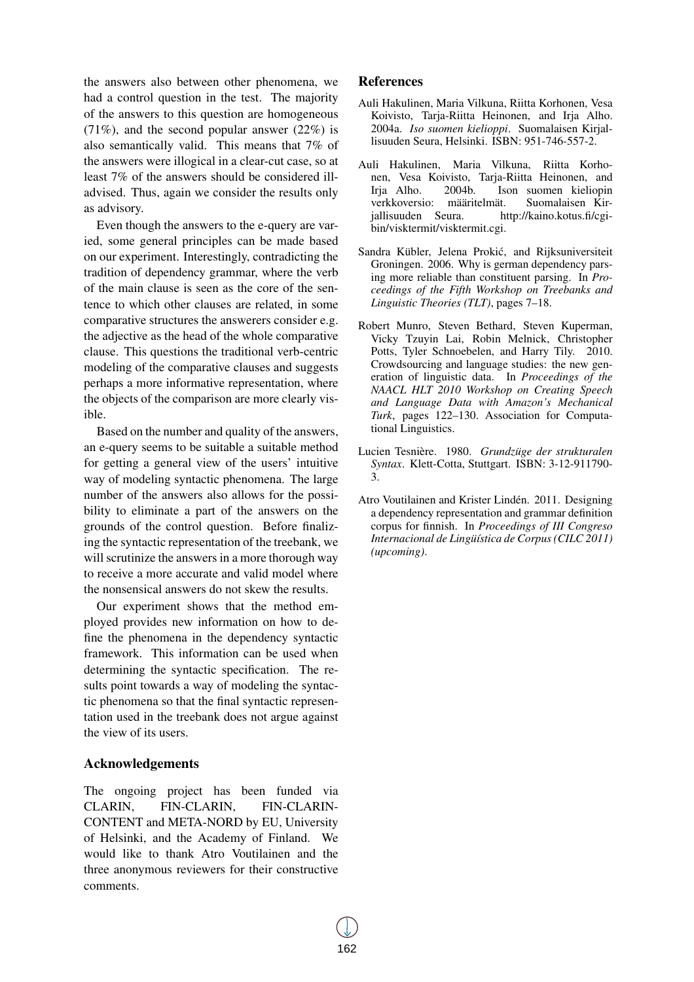the answers also between other phenomena, we had a control question in the test. The majority of the answers to this question are homogeneous  $(71\%)$ , and the second popular answer  $(22\%)$  is also semantically valid. This means that 7% of the answers were illogical in a clear-cut case, so at least 7% of the answers should be considered illadvised. Thus, again we consider the results only as advisory.

Even though the answers to the e-query are varied, some general principles can be made based on our experiment. Interestingly, contradicting the tradition of dependency grammar, where the verb of the main clause is seen as the core of the sentence to which other clauses are related, in some comparative structures the answerers consider e.g. the adjective as the head of the whole comparative clause. This questions the traditional verb-centric modeling of the comparative clauses and suggests perhaps a more informative representation, where the objects of the comparison are more clearly visible.

Based on the number and quality of the answers, an e-query seems to be suitable a suitable method for getting a general view of the users' intuitive way of modeling syntactic phenomena. The large number of the answers also allows for the possibility to eliminate a part of the answers on the grounds of the control question. Before finalizing the syntactic representation of the treebank, we will scrutinize the answers in a more thorough way to receive a more accurate and valid model where the nonsensical answers do not skew the results.

Our experiment shows that the method employed provides new information on how to define the phenomena in the dependency syntactic framework. This information can be used when determining the syntactic specification. The results point towards a way of modeling the syntactic phenomena so that the final syntactic representation used in the treebank does not argue against the view of its users.

## Acknowledgements

The ongoing project has been funded via CLARIN, FIN-CLARIN, FIN-CLARIN-CONTENT and META-NORD by EU, University of Helsinki, and the Academy of Finland. We would like to thank Atro Voutilainen and the three anonymous reviewers for their constructive comments.

## References

- Auli Hakulinen, Maria Vilkuna, Riitta Korhonen, Vesa Koivisto, Tarja-Riitta Heinonen, and Irja Alho. 2004a. *Iso suomen kielioppi*. Suomalaisen Kirjallisuuden Seura, Helsinki. ISBN: 951-746-557-2.
- Auli Hakulinen, Maria Vilkuna, Riitta Korhonen, Vesa Koivisto, Tarja-Riitta Heinonen, and Irja Alho. 2004b. Ison suomen kieliopin verkkoversio: määritelmät. Suomalaisen Kirjallisuuden Seura. http://kaino.kotus.fi/cgibin/visktermit/visktermit.cgi.
- Sandra Kübler, Jelena Prokić, and Rijksuniversiteit Groningen. 2006. Why is german dependency parsing more reliable than constituent parsing. In *Proceedings of the Fifth Workshop on Treebanks and Linguistic Theories (TLT)*, pages 7–18.
- Robert Munro, Steven Bethard, Steven Kuperman, Vicky Tzuyin Lai, Robin Melnick, Christopher Potts, Tyler Schnoebelen, and Harry Tily. 2010. Crowdsourcing and language studies: the new generation of linguistic data. In *Proceedings of the NAACL HLT 2010 Workshop on Creating Speech and Language Data with Amazon's Mechanical Turk*, pages 122–130. Association for Computational Linguistics.
- Lucien Tesnière. 1980. Grundzüge der strukturalen *Syntax*. Klett-Cotta, Stuttgart. ISBN: 3-12-911790- 3.
- Atro Voutilainen and Krister Lindén. 2011. Designing a dependency representation and grammar definition corpus for finnish. In *Proceedings of III Congreso Internacional de Lingüística de Corpus (CILC 2011) (upcoming)*.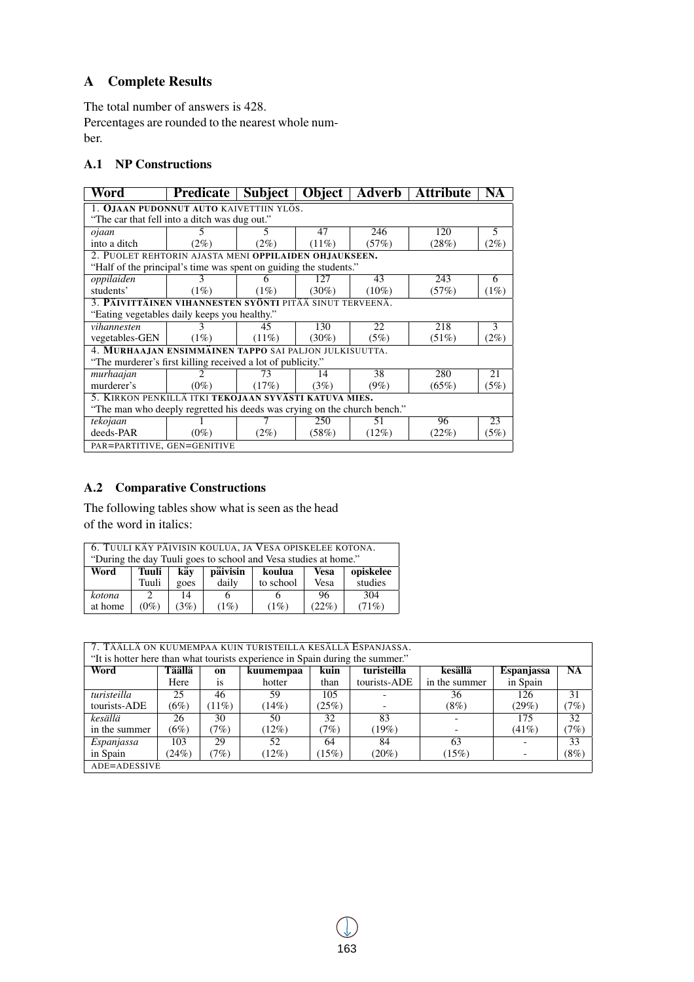# A Complete Results

The total number of answers is 428. Percentages are rounded to the nearest whole number.

## A.1 NP Constructions

| Word                                                                     | <b>Predicate</b> | <b>Subject</b> | <b>Object</b> | <b>Adverb</b> | <b>Attribute</b> | NA      |  |  |
|--------------------------------------------------------------------------|------------------|----------------|---------------|---------------|------------------|---------|--|--|
| 1. OJAAN PUDONNUT AUTO KAIVETTIIN YLÖS.                                  |                  |                |               |               |                  |         |  |  |
| "The car that fell into a ditch was dug out."                            |                  |                |               |               |                  |         |  |  |
| ojaan                                                                    |                  | 5              | 47            | 246           | 120              | 5       |  |  |
| into a ditch                                                             | $(2\%)$          | $(2\%)$        | $(11\%)$      | (57%)         | (28%)            | $(2\%)$ |  |  |
| 2. PUOLET REHTORIN AJASTA MENI OPPILAIDEN OHJAUKSEEN.                    |                  |                |               |               |                  |         |  |  |
| "Half of the principal's time was spent on guiding the students."        |                  |                |               |               |                  |         |  |  |
| oppilaiden                                                               | 3                | 6              | 127           | 43            | 243              | 6       |  |  |
| students'                                                                | $(1\%)$          | $(1\%)$        | $(30\%)$      | $(10\%)$      | (57%)            | (1%)    |  |  |
| 3. PÄIVITTÄINEN VIHANNESTEN SYÖNTI PITÄÄ SINUT TERVEENÄ.                 |                  |                |               |               |                  |         |  |  |
| "Eating vegetables daily keeps you healthy."                             |                  |                |               |               |                  |         |  |  |
| vihannesten                                                              | 3                | 45             | 130           | 22.           | 218              | 3       |  |  |
| vegetables-GEN                                                           | $(1\%)$          | $(11\%)$       | $(30\%)$      | (5%)          | $(51\%)$         | $(2\%)$ |  |  |
| 4. MURHAAJAN ENSIMMÄINEN TAPPO SAI PALJON JULKISUUTTA.                   |                  |                |               |               |                  |         |  |  |
| "The murderer's first killing received a lot of publicity."              |                  |                |               |               |                  |         |  |  |
| murhaajan                                                                |                  | 73             | 14            | 38            | 280              | 21      |  |  |
| murderer's                                                               | $(0\%)$          | (17%)          | (3%)          | $(9\%)$       | (65%)            | (5%)    |  |  |
| 5. KIRKON PENKILLÄ ITKI TEKOJAAN SYVÄSTI KATUVA MIES.                    |                  |                |               |               |                  |         |  |  |
| "The man who deeply regretted his deeds was crying on the church bench." |                  |                |               |               |                  |         |  |  |
| tekojaan                                                                 |                  |                | 250           | 51            | 96               | 23      |  |  |
| deeds-PAR                                                                | $(0\%)$          | $(2\%)$        | (58%)         | $(12\%)$      | (22%)            | (5%)    |  |  |
| PAR=PARTITIVE, GEN=GENITIVE                                              |                  |                |               |               |                  |         |  |  |

## A.2 Comparative Constructions

The following tables show what is seen as the head of the word in italics:

| 6. TUULI KÄY PÄIVISIN KOULUA, JA VESA OPISKELEE KOTONA.         |                                                                |      |      |      |       |       |  |  |  |
|-----------------------------------------------------------------|----------------------------------------------------------------|------|------|------|-------|-------|--|--|--|
| "During the day Tuuli goes to school and Vesa studies at home." |                                                                |      |      |      |       |       |  |  |  |
| Word                                                            | käv<br>opiskelee<br><b>Tuuli</b><br>päivisin<br>koulua<br>Vesa |      |      |      |       |       |  |  |  |
|                                                                 | studies<br>Vesa<br>Tuuli<br>to school<br>daily<br>goes         |      |      |      |       |       |  |  |  |
| kotona                                                          | 96<br>304<br>14                                                |      |      |      |       |       |  |  |  |
| at home                                                         | $(0\%)$                                                        | (3%) | (1%) | (1%) | (22%) | (71%) |  |  |  |

|                                                                                                       | 7. TÄÄLLÄ ON KUUMEMPAA KUIN TURISTEILLA KESÄLLÄ ESPANJASSA.<br>"It is hotter here than what tourists experience in Spain during the summer." |           |          |         |              |               |          |      |  |  |
|-------------------------------------------------------------------------------------------------------|----------------------------------------------------------------------------------------------------------------------------------------------|-----------|----------|---------|--------------|---------------|----------|------|--|--|
| <b>Täällä</b><br>Word<br>turisteilla<br><b>NA</b><br>kuin<br>Espanjassa<br>kesällä<br>kuumempaa<br>on |                                                                                                                                              |           |          |         |              |               |          |      |  |  |
|                                                                                                       | Here                                                                                                                                         | <b>1S</b> | hotter   | than    | tourists-ADE | in the summer | in Spain |      |  |  |
| turisteilla                                                                                           | 25                                                                                                                                           | 46        | 59       | 105     |              | 36            | 126      | 31   |  |  |
| tourists-ADE                                                                                          | $(6\%)$                                                                                                                                      | $(11\%)$  | (14%)    | (25%)   |              | $(8\%)$       | $(29\%)$ | (7%) |  |  |
| kesällä                                                                                               | 26                                                                                                                                           | 30        | 50       | 32      | 83           |               | 175      | 32   |  |  |
| in the summer                                                                                         | $(6\%)$                                                                                                                                      | (7%)      | (12%)    | (7%)    | (19%)        |               | $(41\%)$ | (7%) |  |  |
| Espanjassa                                                                                            | 103                                                                                                                                          | 29        | 52       | 64      | 84           | 63            |          | 33   |  |  |
| in Spain                                                                                              | (24%)                                                                                                                                        | (7%)      | $(12\%)$ | $15\%)$ | $(20\%)$     | (15%)         |          | (8%) |  |  |
| ADE=ADESSIVE                                                                                          |                                                                                                                                              |           |          |         |              |               |          |      |  |  |